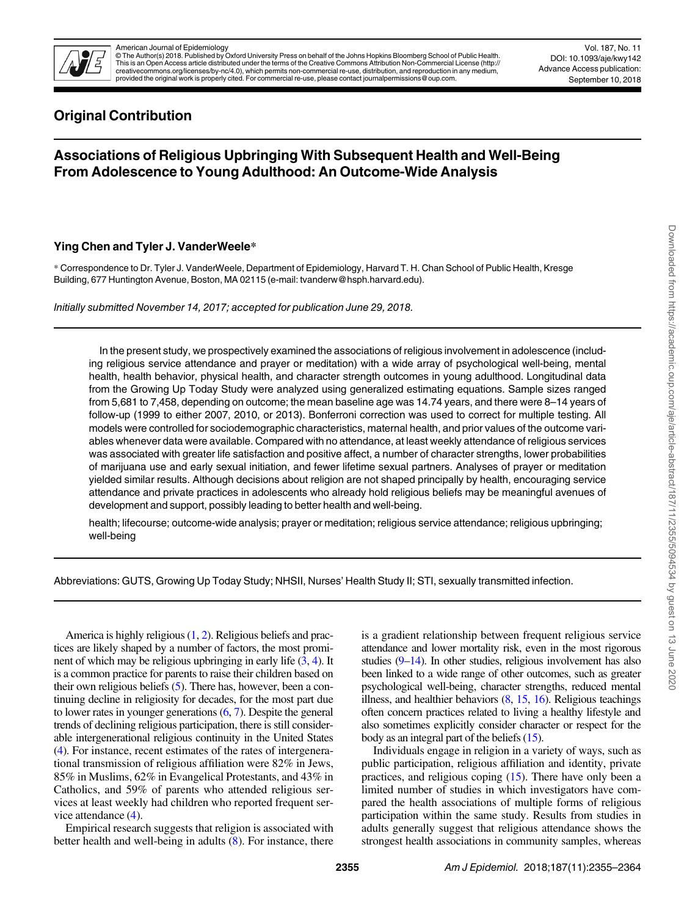

# American Journal of Epidemiology © The Author(s) 2018. Published by Oxford University Press on behalf of the Johns Hopkins Bloomberg School of Public Health. This is an Open Access article distributed under the terms of the Creative Commons Attribution Non-Commercial License ([http://](http://creativecommons.org/licenses/by-nc/4.0) [creativecommons.org/licenses/by-nc/4.0](http://creativecommons.org/licenses/by-nc/4.0)), which permits non-commercial re-use, distribution, and reproduction in any medium,<br>provided the original work is properly cited. For commercial re-use, please contact journalpermiss

Vol. 187, No. 11 DOI: 10.1093/aje/kwy142 Advance Access publication: September 10, 2018

# Original Contribution

# Associations of Religious Upbringing With Subsequent Health and Well-Being From Adolescence to Young Adulthood: An Outcome-Wide Analysis

# Ying Chen and Tyler J. VanderWeele\*

\* Correspondence to Dr. Tyler J. VanderWeele, Department of Epidemiology, Harvard T. H. Chan School of Public Health, Kresge Building, 677 Huntington Avenue, Boston, MA 02115 (e-mail: tvanderw@hsph.harvard.edu).

Initially submitted November 14, 2017; accepted for publication June 29, 2018.

In the present study, we prospectively examined the associations of religious involvement in adolescence (including religious service attendance and prayer or meditation) with a wide array of psychological well-being, mental health, health behavior, physical health, and character strength outcomes in young adulthood. Longitudinal data from the Growing Up Today Study were analyzed using generalized estimating equations. Sample sizes ranged from 5,681 to 7,458, depending on outcome; the mean baseline age was 14.74 years, and there were 8–14 years of follow-up (1999 to either 2007, 2010, or 2013). Bonferroni correction was used to correct for multiple testing. All models were controlled for sociodemographic characteristics, maternal health, and prior values of the outcome variables whenever data were available. Compared with no attendance, at least weekly attendance of religious services was associated with greater life satisfaction and positive affect, a number of character strengths, lower probabilities of marijuana use and early sexual initiation, and fewer lifetime sexual partners. Analyses of prayer or meditation yielded similar results. Although decisions about religion are not shaped principally by health, encouraging service attendance and private practices in adolescents who already hold religious beliefs may be meaningful avenues of development and support, possibly leading to better health and well-being.

health; lifecourse; outcome-wide analysis; prayer or meditation; religious service attendance; religious upbringing; well-being

Abbreviations: GUTS, Growing Up Today Study; NHSII, Nurses' Health Study II; STI, sexually transmitted infection.

America is highly religious [\(1,](#page-8-0) [2](#page-8-0)). Religious beliefs and practices are likely shaped by a number of factors, the most prominent of which may be religious upbringing in early life  $(3, 4)$  $(3, 4)$  $(3, 4)$ . It is a common practice for parents to raise their children based on their own religious beliefs ([5](#page-8-0)). There has, however, been a continuing decline in religiosity for decades, for the most part due to lower rates in younger generations ([6](#page-8-0), [7\)](#page-9-0). Despite the general trends of declining religious participation, there is still considerable intergenerational religious continuity in the United States [\(4\)](#page-8-0). For instance, recent estimates of the rates of intergenerational transmission of religious affiliation were 82% in Jews, 85% in Muslims, 62% in Evangelical Protestants, and 43% in Catholics, and 59% of parents who attended religious services at least weekly had children who reported frequent service attendance ([4\)](#page-8-0).

Empirical research suggests that religion is associated with better health and well-being in adults  $(8)$  $(8)$ . For instance, there is a gradient relationship between frequent religious service attendance and lower mortality risk, even in the most rigorous studies ([9](#page-9-0)–[14\)](#page-9-0). In other studies, religious involvement has also been linked to a wide range of other outcomes, such as greater psychological well-being, character strengths, reduced mental illness, and healthier behaviors ([8](#page-9-0), [15,](#page-9-0) [16\)](#page-9-0). Religious teachings often concern practices related to living a healthy lifestyle and also sometimes explicitly consider character or respect for the body as an integral part of the beliefs [\(15\)](#page-9-0).

Individuals engage in religion in a variety of ways, such as public participation, religious affiliation and identity, private practices, and religious coping ([15\)](#page-9-0). There have only been a limited number of studies in which investigators have compared the health associations of multiple forms of religious participation within the same study. Results from studies in adults generally suggest that religious attendance shows the strongest health associations in community samples, whereas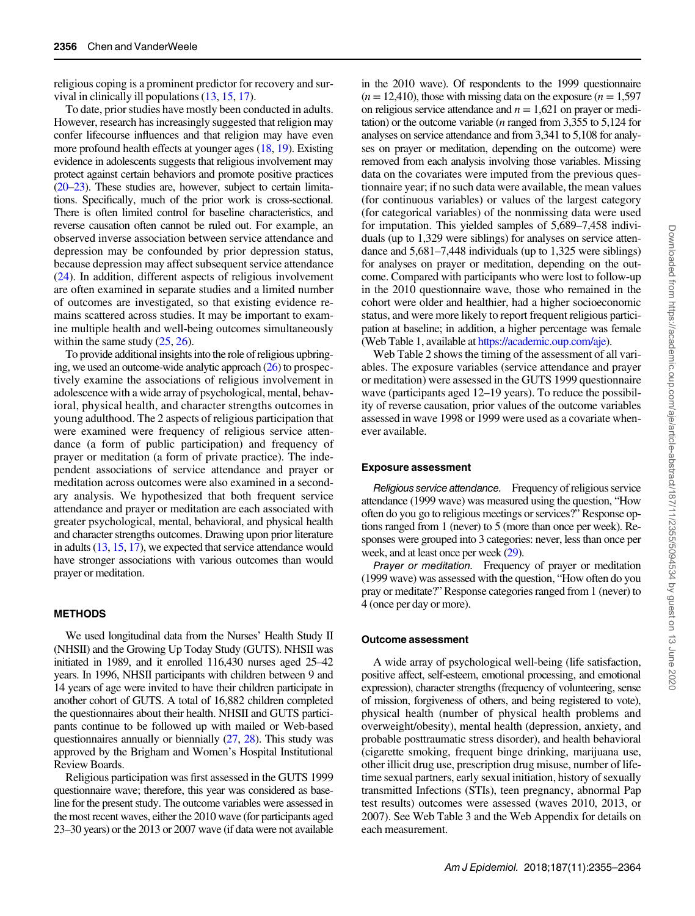religious coping is a prominent predictor for recovery and survival in clinically ill populations [\(13,](#page-9-0) [15](#page-9-0), [17](#page-9-0)).

To date, prior studies have mostly been conducted in adults. However, research has increasingly suggested that religion may confer lifecourse influences and that religion may have even more profound health effects at younger ages [\(18](#page-9-0), [19](#page-9-0)). Existing evidence in adolescents suggests that religious involvement may protect against certain behaviors and promote positive practices [\(20](#page-9-0)–[23\)](#page-9-0). These studies are, however, subject to certain limitations. Specifically, much of the prior work is cross-sectional. There is often limited control for baseline characteristics, and reverse causation often cannot be ruled out. For example, an observed inverse association between service attendance and depression may be confounded by prior depression status, because depression may affect subsequent service attendance [\(24](#page-9-0)). In addition, different aspects of religious involvement are often examined in separate studies and a limited number of outcomes are investigated, so that existing evidence remains scattered across studies. It may be important to examine multiple health and well-being outcomes simultaneously within the same study  $(25, 26)$  $(25, 26)$  $(25, 26)$  $(25, 26)$ .

To provide additional insights into the role of religious upbringing, we used an outcome-wide analytic approach [\(26](#page-9-0)) to prospectively examine the associations of religious involvement in adolescence with a wide array of psychological, mental, behavioral, physical health, and character strengths outcomes in young adulthood. The 2 aspects of religious participation that were examined were frequency of religious service attendance (a form of public participation) and frequency of prayer or meditation (a form of private practice). The independent associations of service attendance and prayer or meditation across outcomes were also examined in a secondary analysis. We hypothesized that both frequent service attendance and prayer or meditation are each associated with greater psychological, mental, behavioral, and physical health and character strengths outcomes. Drawing upon prior literature in adults [\(13,](#page-9-0) [15,](#page-9-0) [17\)](#page-9-0), we expected that service attendance would have stronger associations with various outcomes than would prayer or meditation.

### **METHODS**

We used longitudinal data from the Nurses' Health Study II (NHSII) and the Growing Up Today Study (GUTS). NHSII was initiated in 1989, and it enrolled 116,430 nurses aged 25–42 years. In 1996, NHSII participants with children between 9 and 14 years of age were invited to have their children participate in another cohort of GUTS. A total of 16,882 children completed the questionnaires about their health. NHSII and GUTS participants continue to be followed up with mailed or Web-based questionnaires annually or biennially ([27](#page-9-0), [28](#page-9-0)). This study was approved by the Brigham and Women's Hospital Institutional Review Boards.

Religious participation was first assessed in the GUTS 1999 questionnaire wave; therefore, this year was considered as baseline for the present study. The outcome variables were assessed in the most recent waves, either the 2010 wave (for participants aged 23–30 years) or the 2013 or 2007 wave (if data were not available

in the 2010 wave). Of respondents to the 1999 questionnaire  $(n = 12,410)$ , those with missing data on the exposure  $(n = 1,597)$ on religious service attendance and  $n = 1.621$  on prayer or meditation) or the outcome variable ( $n$  ranged from 3,355 to 5,124 for analyses on service attendance and from 3,341 to 5,108 for analyses on prayer or meditation, depending on the outcome) were removed from each analysis involving those variables. Missing data on the covariates were imputed from the previous questionnaire year; if no such data were available, the mean values (for continuous variables) or values of the largest category (for categorical variables) of the nonmissing data were used for imputation. This yielded samples of 5,689–7,458 individuals (up to 1,329 were siblings) for analyses on service attendance and 5,681–7,448 individuals (up to 1,325 were siblings) for analyses on prayer or meditation, depending on the outcome. Compared with participants who were lost to follow-up in the 2010 questionnaire wave, those who remained in the cohort were older and healthier, had a higher socioeconomic status, and were more likely to report frequent religious participation at baseline; in addition, a higher percentage was female (Web Table 1, available at [https://academic.oup.com/aje\)](https://academic.oup.com/aje).

Web Table 2 shows the timing of the assessment of all variables. The exposure variables (service attendance and prayer or meditation) were assessed in the GUTS 1999 questionnaire wave (participants aged 12–19 years). To reduce the possibility of reverse causation, prior values of the outcome variables assessed in wave 1998 or 1999 were used as a covariate whenever available.

#### Exposure assessment

Religious service attendance. Frequency of religious service attendance (1999 wave) was measured using the question, "How often do you go to religious meetings or services?" Response options ranged from 1 (never) to 5 (more than once per week). Responses were grouped into 3 categories: never, less than once per week, and at least once per week [\(29\)](#page-9-0).

Prayer or meditation. Frequency of prayer or meditation (1999 wave) was assessed with the question, "How often do you pray or meditate?" Response categories ranged from 1 (never) to 4 (once per day or more).

#### Outcome assessment

A wide array of psychological well-being (life satisfaction, positive affect, self-esteem, emotional processing, and emotional expression), character strengths (frequency of volunteering, sense of mission, forgiveness of others, and being registered to vote), physical health (number of physical health problems and overweight/obesity), mental health (depression, anxiety, and probable posttraumatic stress disorder), and health behavioral (cigarette smoking, frequent binge drinking, marijuana use, other illicit drug use, prescription drug misuse, number of lifetime sexual partners, early sexual initiation, history of sexually transmitted Infections (STIs), teen pregnancy, abnormal Pap test results) outcomes were assessed (waves 2010, 2013, or 2007). See Web Table 3 and the Web Appendix for details on each measurement.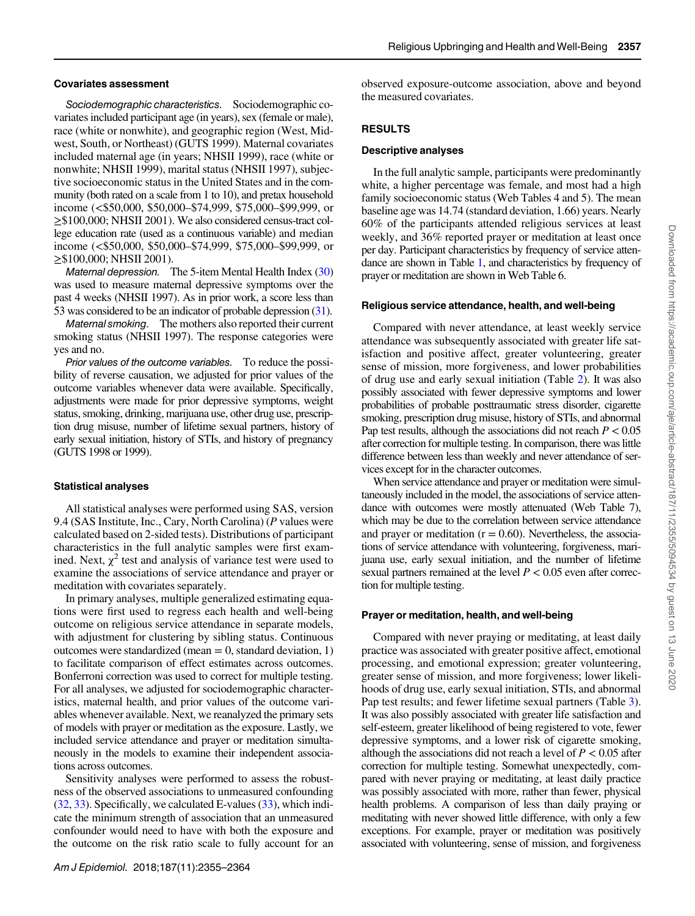## Covariates assessment

Sociodemographic characteristics. Sociodemographic covariates included participant age (in years), sex (female or male), race (white or nonwhite), and geographic region (West, Midwest, South, or Northeast) (GUTS 1999). Maternal covariates included maternal age (in years; NHSII 1999), race (white or nonwhite; NHSII 1999), marital status (NHSII 1997), subjective socioeconomic status in the United States and in the community (both rated on a scale from 1 to 10), and pretax household income (<\$50,000, \$50,000–\$74,999, \$75,000–\$99,999, or ≥\$100,000; NHSII 2001). We also considered census-tract college education rate (used as a continuous variable) and median income (<\$50,000, \$50,000–\$74,999, \$75,000–\$99,999, or ≥\$100,000; NHSII 2001).

Maternal depression. The 5-item Mental Health Index [\(30\)](#page-9-0) was used to measure maternal depressive symptoms over the past 4 weeks (NHSII 1997). As in prior work, a score less than 53 was considered to be an indicator of probable depression [\(31\)](#page-9-0).

Maternal smoking. The mothers also reported their current smoking status (NHSII 1997). The response categories were yes and no.

Prior values of the outcome variables. To reduce the possibility of reverse causation, we adjusted for prior values of the outcome variables whenever data were available. Specifically, adjustments were made for prior depressive symptoms, weight status, smoking, drinking, marijuana use, other drug use, prescription drug misuse, number of lifetime sexual partners, history of early sexual initiation, history of STIs, and history of pregnancy (GUTS 1998 or 1999).

# Statistical analyses

All statistical analyses were performed using SAS, version 9.4 (SAS Institute, Inc., Cary, North Carolina) (P values were calculated based on 2-sided tests). Distributions of participant characteristics in the full analytic samples were first examined. Next,  $\chi^2$  test and analysis of variance test were used to examine the associations of service attendance and prayer or meditation with covariates separately.

In primary analyses, multiple generalized estimating equations were first used to regress each health and well-being outcome on religious service attendance in separate models, with adjustment for clustering by sibling status. Continuous outcomes were standardized (mean  $= 0$ , standard deviation, 1) to facilitate comparison of effect estimates across outcomes. Bonferroni correction was used to correct for multiple testing. For all analyses, we adjusted for sociodemographic characteristics, maternal health, and prior values of the outcome variables whenever available. Next, we reanalyzed the primary sets of models with prayer or meditation as the exposure. Lastly, we included service attendance and prayer or meditation simultaneously in the models to examine their independent associations across outcomes.

Sensitivity analyses were performed to assess the robustness of the observed associations to unmeasured confounding [\(32,](#page-9-0) [33](#page-9-0)). Specifically, we calculated E-values ([33\)](#page-9-0), which indicate the minimum strength of association that an unmeasured confounder would need to have with both the exposure and the outcome on the risk ratio scale to fully account for an observed exposure-outcome association, above and beyond the measured covariates.

# RESULTS

## Descriptive analyses

In the full analytic sample, participants were predominantly white, a higher percentage was female, and most had a high family socioeconomic status (Web Tables 4 and 5). The mean baseline age was 14.74 (standard deviation, 1.66) years. Nearly 60% of the participants attended religious services at least weekly, and 36% reported prayer or meditation at least once per day. Participant characteristics by frequency of service attendance are shown in Table [1,](#page-3-0) and characteristics by frequency of prayer or meditation are shown in Web Table 6.

## Religious service attendance, health, and well-being

Compared with never attendance, at least weekly service attendance was subsequently associated with greater life satisfaction and positive affect, greater volunteering, greater sense of mission, more forgiveness, and lower probabilities of drug use and early sexual initiation (Table [2\)](#page-4-0). It was also possibly associated with fewer depressive symptoms and lower probabilities of probable posttraumatic stress disorder, cigarette smoking, prescription drug misuse, history of STIs, and abnormal Pap test results, although the associations did not reach  $P < 0.05$ after correction for multiple testing. In comparison, there was little difference between less than weekly and never attendance of services except for in the character outcomes.

When service attendance and prayer or meditation were simultaneously included in the model, the associations of service attendance with outcomes were mostly attenuated (Web Table 7), which may be due to the correlation between service attendance and prayer or meditation  $(r = 0.60)$ . Nevertheless, the associations of service attendance with volunteering, forgiveness, marijuana use, early sexual initiation, and the number of lifetime sexual partners remained at the level  $P < 0.05$  even after correction for multiple testing.

# Prayer or meditation, health, and well-being

Compared with never praying or meditating, at least daily practice was associated with greater positive affect, emotional processing, and emotional expression; greater volunteering, greater sense of mission, and more forgiveness; lower likelihoods of drug use, early sexual initiation, STIs, and abnormal Pap test results; and fewer lifetime sexual partners (Table [3](#page-5-0)). It was also possibly associated with greater life satisfaction and self-esteem, greater likelihood of being registered to vote, fewer depressive symptoms, and a lower risk of cigarette smoking, although the associations did not reach a level of  $P < 0.05$  after correction for multiple testing. Somewhat unexpectedly, compared with never praying or meditating, at least daily practice was possibly associated with more, rather than fewer, physical health problems. A comparison of less than daily praying or meditating with never showed little difference, with only a few exceptions. For example, prayer or meditation was positively associated with volunteering, sense of mission, and forgiveness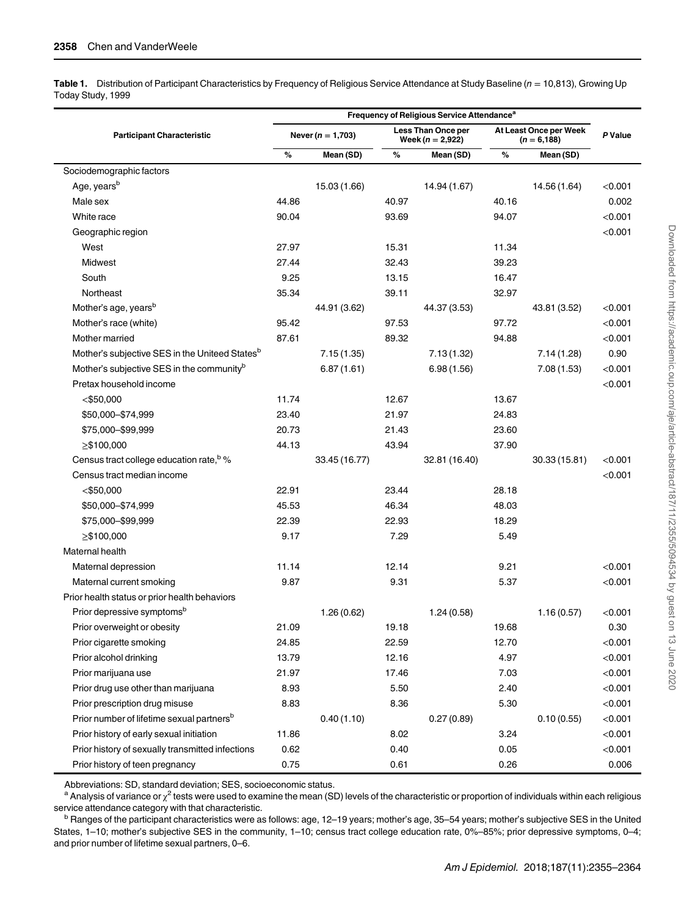<span id="page-3-0"></span>Table 1. Distribution of Participant Characteristics by Frequency of Religious Service Attendance at Study Baseline ( $n = 10,813$ ), Growing Up Today Study, 1999

|                                                            | Frequency of Religious Service Attendance <sup>a</sup> |                       |       |                                          |       |                                          |           |  |  |
|------------------------------------------------------------|--------------------------------------------------------|-----------------------|-------|------------------------------------------|-------|------------------------------------------|-----------|--|--|
| <b>Participant Characteristic</b>                          |                                                        | Never ( $n = 1,703$ ) |       | Less Than Once per<br>Week $(n = 2,922)$ |       | At Least Once per Week<br>$(n = 6, 188)$ | P Value   |  |  |
|                                                            | %                                                      | Mean (SD)             | %     | Mean (SD)                                | %     | Mean (SD)                                |           |  |  |
| Sociodemographic factors                                   |                                                        |                       |       |                                          |       |                                          |           |  |  |
| Age, years <sup>b</sup>                                    |                                                        | 15.03 (1.66)          |       | 14.94 (1.67)                             |       | 14.56 (1.64)                             | < 0.001   |  |  |
| Male sex                                                   | 44.86                                                  |                       | 40.97 |                                          | 40.16 |                                          | 0.002     |  |  |
| White race                                                 | 90.04                                                  |                       | 93.69 |                                          | 94.07 |                                          | $<$ 0.001 |  |  |
| Geographic region                                          |                                                        |                       |       |                                          |       |                                          | < 0.001   |  |  |
| West                                                       | 27.97                                                  |                       | 15.31 |                                          | 11.34 |                                          |           |  |  |
| Midwest                                                    | 27.44                                                  |                       | 32.43 |                                          | 39.23 |                                          |           |  |  |
| South                                                      | 9.25                                                   |                       | 13.15 |                                          | 16.47 |                                          |           |  |  |
| Northeast                                                  | 35.34                                                  |                       | 39.11 |                                          | 32.97 |                                          |           |  |  |
| Mother's age, years <sup>b</sup>                           |                                                        | 44.91 (3.62)          |       | 44.37 (3.53)                             |       | 43.81 (3.52)                             | $<$ 0.001 |  |  |
| Mother's race (white)                                      | 95.42                                                  |                       | 97.53 |                                          | 97.72 |                                          | $<$ 0.001 |  |  |
| Mother married                                             | 87.61                                                  |                       | 89.32 |                                          | 94.88 |                                          | < 0.001   |  |  |
| Mother's subjective SES in the Uniteed States <sup>b</sup> |                                                        | 7.15(1.35)            |       | 7.13(1.32)                               |       | 7.14(1.28)                               | 0.90      |  |  |
| Mother's subjective SES in the community <sup>b</sup>      |                                                        | 6.87(1.61)            |       | 6.98(1.56)                               |       | 7.08(1.53)                               | < 0.001   |  |  |
| Pretax household income                                    |                                                        |                       |       |                                          |       |                                          | < 0.001   |  |  |
| $<$ \$50,000                                               | 11.74                                                  |                       | 12.67 |                                          | 13.67 |                                          |           |  |  |
| \$50,000-\$74,999                                          | 23.40                                                  |                       | 21.97 |                                          | 24.83 |                                          |           |  |  |
| \$75,000 - \$99,999                                        | 20.73                                                  |                       | 21.43 |                                          | 23.60 |                                          |           |  |  |
| $>$ \$100,000                                              | 44.13                                                  |                       | 43.94 |                                          | 37.90 |                                          |           |  |  |
| Census tract college education rate, b %                   |                                                        | 33.45 (16.77)         |       | 32.81 (16.40)                            |       | 30.33 (15.81)                            | $<$ 0.001 |  |  |
| Census tract median income                                 |                                                        |                       |       |                                          |       |                                          | < 0.001   |  |  |
| $<$ \$50,000                                               | 22.91                                                  |                       | 23.44 |                                          | 28.18 |                                          |           |  |  |
| \$50,000 - \$74,999                                        | 45.53                                                  |                       | 46.34 |                                          | 48.03 |                                          |           |  |  |
| \$75,000 - \$99,999                                        | 22.39                                                  |                       | 22.93 |                                          | 18.29 |                                          |           |  |  |
| $\geq$ \$100,000                                           | 9.17                                                   |                       | 7.29  |                                          | 5.49  |                                          |           |  |  |
| Maternal health                                            |                                                        |                       |       |                                          |       |                                          |           |  |  |
| Maternal depression                                        | 11.14                                                  |                       | 12.14 |                                          | 9.21  |                                          | < 0.001   |  |  |
| Maternal current smoking                                   | 9.87                                                   |                       | 9.31  |                                          | 5.37  |                                          | <0.001    |  |  |
| Prior health status or prior health behaviors              |                                                        |                       |       |                                          |       |                                          |           |  |  |
| Prior depressive symptoms <sup>b</sup>                     |                                                        | 1.26(0.62)            |       | 1.24(0.58)                               |       | 1.16(0.57)                               | < 0.001   |  |  |
| Prior overweight or obesity                                | 21.09                                                  |                       | 19.18 |                                          | 19.68 |                                          | 0.30      |  |  |
| Prior cigarette smoking                                    | 24.85                                                  |                       | 22.59 |                                          | 12.70 |                                          | < 0.001   |  |  |
| Prior alcohol drinking                                     | 13.79                                                  |                       | 12.16 |                                          | 4.97  |                                          | < 0.001   |  |  |
| Prior marijuana use                                        | 21.97                                                  |                       | 17.46 |                                          | 7.03  |                                          | < 0.001   |  |  |
| Prior drug use other than marijuana                        | 8.93                                                   |                       | 5.50  |                                          | 2.40  |                                          | < 0.001   |  |  |
| Prior prescription drug misuse                             | 8.83                                                   |                       | 8.36  |                                          | 5.30  |                                          | < 0.001   |  |  |
| Prior number of lifetime sexual partners <sup>b</sup>      |                                                        | 0.40(1.10)            |       | 0.27(0.89)                               |       | 0.10(0.55)                               | < 0.001   |  |  |
| Prior history of early sexual initiation                   | 11.86                                                  |                       | 8.02  |                                          | 3.24  |                                          | < 0.001   |  |  |
| Prior history of sexually transmitted infections           | 0.62                                                   |                       | 0.40  |                                          | 0.05  |                                          | < 0.001   |  |  |
| Prior history of teen pregnancy                            | 0.75                                                   |                       | 0.61  |                                          | 0.26  |                                          | 0.006     |  |  |

Abbreviations: SD, standard deviation; SES, socioeconomic status.

<sup>a</sup> Analysis of variance or  $\chi^2$  tests were used to examine the mean (SD) levels of the characteristic or proportion of individuals within each religious service attendance category with that characteristic.<br><sup>b</sup> Ranges of the participant characteristics were as follows: age, 12–19 years; mother's age, 35–54 years; mother's subjective SES in the United

States, 1–10; mother's subjective SES in the community, 1–10; census tract college education rate, 0%–85%; prior depressive symptoms, 0–4; and prior number of lifetime sexual partners, 0–6.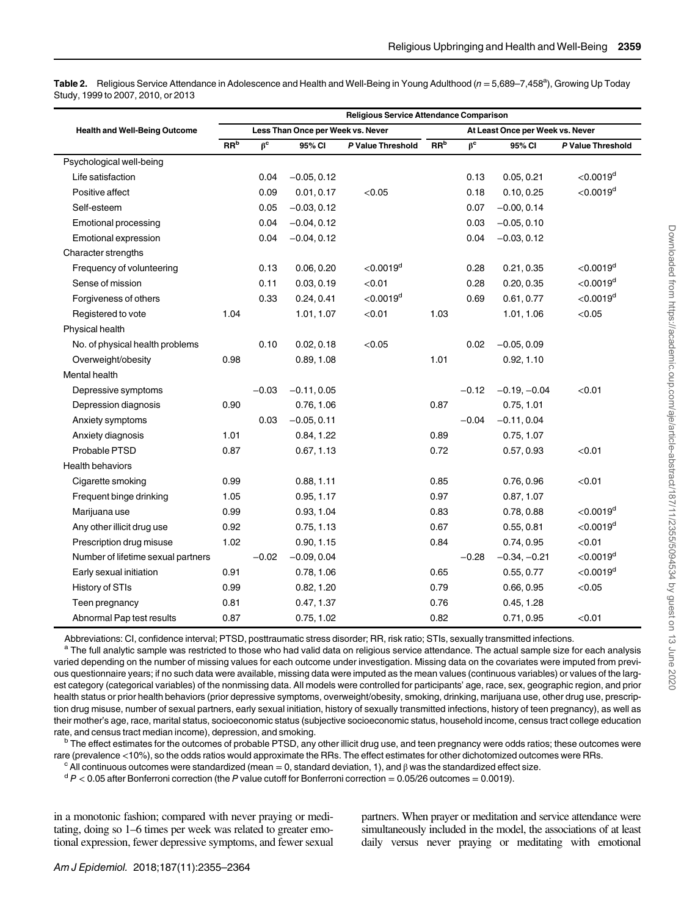<span id="page-4-0"></span>Table 2. Religious Service Attendance in Adolescence and Health and Well-Being in Young Adulthood (n = 5,689–7,458<sup>a</sup>), Growing Up Today Study, 1999 to 2007, 2010, or 2013

|                                      | Religious Service Attendance Comparison |           |               |                         |                 |                                  |                |                         |  |
|--------------------------------------|-----------------------------------------|-----------|---------------|-------------------------|-----------------|----------------------------------|----------------|-------------------------|--|
| <b>Health and Well-Being Outcome</b> | Less Than Once per Week vs. Never       |           |               |                         |                 | At Least Once per Week vs. Never |                |                         |  |
|                                      | RR <sup>b</sup>                         | $\beta^c$ | 95% CI        | P Value Threshold       | RR <sup>b</sup> | $\beta^c$                        | 95% CI         | P Value Threshold       |  |
| Psychological well-being             |                                         |           |               |                         |                 |                                  |                |                         |  |
| Life satisfaction                    |                                         | 0.04      | $-0.05, 0.12$ |                         |                 | 0.13                             | 0.05, 0.21     | $<$ 0.0019 <sup>d</sup> |  |
| Positive affect                      |                                         | 0.09      | 0.01, 0.17    | < 0.05                  |                 | 0.18                             | 0.10, 0.25     | $<$ 0.0019 <sup>d</sup> |  |
| Self-esteem                          |                                         | 0.05      | $-0.03, 0.12$ |                         |                 | 0.07                             | $-0.00, 0.14$  |                         |  |
| <b>Emotional processing</b>          |                                         | 0.04      | $-0.04, 0.12$ |                         |                 | 0.03                             | $-0.05, 0.10$  |                         |  |
| Emotional expression                 |                                         | 0.04      | $-0.04, 0.12$ |                         |                 | 0.04                             | $-0.03, 0.12$  |                         |  |
| Character strengths                  |                                         |           |               |                         |                 |                                  |                |                         |  |
| Frequency of volunteering            |                                         | 0.13      | 0.06, 0.20    | $<$ 0.0019 <sup>d</sup> |                 | 0.28                             | 0.21, 0.35     | $<$ 0.0019 <sup>d</sup> |  |
| Sense of mission                     |                                         | 0.11      | 0.03, 0.19    | < 0.01                  |                 | 0.28                             | 0.20, 0.35     | $<$ 0.0019 <sup>d</sup> |  |
| Forgiveness of others                |                                         | 0.33      | 0.24, 0.41    | $<$ 0.0019 <sup>d</sup> |                 | 0.69                             | 0.61, 0.77     | $<$ 0.0019 <sup>d</sup> |  |
| Registered to vote                   | 1.04                                    |           | 1.01, 1.07    | < 0.01                  | 1.03            |                                  | 1.01, 1.06     | < 0.05                  |  |
| Physical health                      |                                         |           |               |                         |                 |                                  |                |                         |  |
| No. of physical health problems      |                                         | 0.10      | 0.02, 0.18    | < 0.05                  |                 | 0.02                             | $-0.05, 0.09$  |                         |  |
| Overweight/obesity                   | 0.98                                    |           | 0.89, 1.08    |                         | 1.01            |                                  | 0.92, 1.10     |                         |  |
| <b>Mental health</b>                 |                                         |           |               |                         |                 |                                  |                |                         |  |
| Depressive symptoms                  |                                         | $-0.03$   | $-0.11, 0.05$ |                         |                 | $-0.12$                          | $-0.19, -0.04$ | < 0.01                  |  |
| Depression diagnosis                 | 0.90                                    |           | 0.76, 1.06    |                         | 0.87            |                                  | 0.75, 1.01     |                         |  |
| Anxiety symptoms                     |                                         | 0.03      | $-0.05, 0.11$ |                         |                 | $-0.04$                          | $-0.11, 0.04$  |                         |  |
| Anxiety diagnosis                    | 1.01                                    |           | 0.84, 1.22    |                         | 0.89            |                                  | 0.75, 1.07     |                         |  |
| Probable PTSD                        | 0.87                                    |           | 0.67, 1.13    |                         | 0.72            |                                  | 0.57, 0.93     | < 0.01                  |  |
| <b>Health behaviors</b>              |                                         |           |               |                         |                 |                                  |                |                         |  |
| Cigarette smoking                    | 0.99                                    |           | 0.88, 1.11    |                         | 0.85            |                                  | 0.76, 0.96     | < 0.01                  |  |
| Frequent binge drinking              | 1.05                                    |           | 0.95, 1.17    |                         | 0.97            |                                  | 0.87, 1.07     |                         |  |
| Marijuana use                        | 0.99                                    |           | 0.93, 1.04    |                         | 0.83            |                                  | 0.78, 0.88     | $<$ 0.0019 <sup>d</sup> |  |
| Any other illicit drug use           | 0.92                                    |           | 0.75, 1.13    |                         | 0.67            |                                  | 0.55, 0.81     | $<$ 0.0019 <sup>d</sup> |  |
| Prescription drug misuse             | 1.02                                    |           | 0.90, 1.15    |                         | 0.84            |                                  | 0.74, 0.95     | < 0.01                  |  |
| Number of lifetime sexual partners   |                                         | $-0.02$   | $-0.09, 0.04$ |                         |                 | $-0.28$                          | $-0.34, -0.21$ | $<$ 0.0019 <sup>d</sup> |  |
| Early sexual initiation              | 0.91                                    |           | 0.78, 1.06    |                         | 0.65            |                                  | 0.55, 0.77     | $<$ 0.0019 <sup>d</sup> |  |
| History of STIs                      | 0.99                                    |           | 0.82, 1.20    |                         | 0.79            |                                  | 0.66, 0.95     | < 0.05                  |  |
| Teen pregnancy                       | 0.81                                    |           | 0.47, 1.37    |                         | 0.76            |                                  | 0.45, 1.28     |                         |  |
| Abnormal Pap test results            | 0.87                                    |           | 0.75, 1.02    |                         | 0.82            |                                  | 0.71, 0.95     | < 0.01                  |  |

Abbreviations: CI, confidence interval; PTSD, posttraumatic stress disorder; RR, risk ratio; STIs, sexually transmitted infections.<br><sup>a</sup> The full analytic sample was restricted to those who had valid data on religious servi varied depending on the number of missing values for each outcome under investigation. Missing data on the covariates were imputed from previous questionnaire years; if no such data were available, missing data were imputed as the mean values (continuous variables) or values of the largest category (categorical variables) of the nonmissing data. All models were controlled for participants' age, race, sex, geographic region, and prior health status or prior health behaviors (prior depressive symptoms, overweight/obesity, smoking, drinking, marijuana use, other drug use, prescription drug misuse, number of sexual partners, early sexual initiation, history of sexually transmitted infections, history of teen pregnancy), as well as their mother's age, race, marital status, socioeconomic status (subjective socioeconomic status, household income, census tract college education

rate, and census tract median income), depression, and smoking.<br><sup>b</sup> The effect estimates for the outcomes of probable PTSD, any other illicit drug use, and teen pregnancy were odds ratios; these outcomes were rare (prevalence <10%), so the odds ratios would approximate the RRs. The effect estimates for other dichotomized outcomes were RRs.<br><sup>c</sup> All continuous outcomes were standardized (mean = 0, standard deviation, 1), and  $\beta$ 

in a monotonic fashion; compared with never praying or meditating, doing so 1–6 times per week was related to greater emotional expression, fewer depressive symptoms, and fewer sexual partners. When prayer or meditation and service attendance were simultaneously included in the model, the associations of at least daily versus never praying or meditating with emotional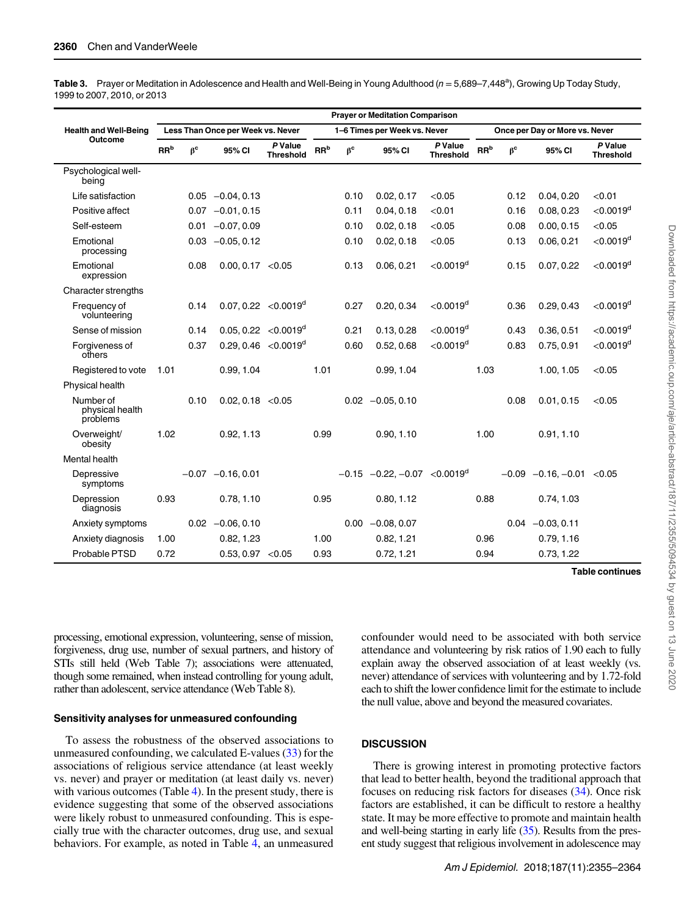<span id="page-5-0"></span>Table 3. Prayer or Meditation in Adolescence and Health and Well-Being in Young Adulthood (n = 5,689–7,448<sup>a</sup>), Growing Up Today Study, 1999 to 2007, 2010, or 2013

|                                          | <b>Prayer or Meditation Comparison</b> |           |                         |                             |                                              |                              |                                             |                             |                    |                                |                       |                         |  |
|------------------------------------------|----------------------------------------|-----------|-------------------------|-----------------------------|----------------------------------------------|------------------------------|---------------------------------------------|-----------------------------|--------------------|--------------------------------|-----------------------|-------------------------|--|
| <b>Health and Well-Being</b>             | Less Than Once per Week vs. Never      |           |                         |                             |                                              | 1-6 Times per Week vs. Never |                                             |                             |                    | Once per Day or More vs. Never |                       |                         |  |
| Outcome                                  | RR <sup>b</sup>                        | $\beta^c$ | 95% CI                  | P Value<br><b>Threshold</b> | $\ensuremath{\mathsf{RR}^\mathrm{b}}\xspace$ | $\beta^c$                    | 95% CI                                      | P Value<br><b>Threshold</b> | ${\rm RR}^{\rm b}$ | $\beta^c$                      | 95% CI                | P Value<br>Threshold    |  |
| Psychological well-<br>being             |                                        |           |                         |                             |                                              |                              |                                             |                             |                    |                                |                       |                         |  |
| Life satisfaction                        |                                        |           | $0.05 -0.04, 0.13$      |                             |                                              | 0.10                         | 0.02, 0.17                                  | < 0.05                      |                    | 0.12                           | 0.04, 0.20            | < 0.01                  |  |
| Positive affect                          |                                        |           | $0.07 -0.01, 0.15$      |                             |                                              | 0.11                         | 0.04, 0.18                                  | < 0.01                      |                    | 0.16                           | 0.08, 0.23            | $<$ 0.0019 <sup>d</sup> |  |
| Self-esteem                              |                                        |           | $0.01 -0.07, 0.09$      |                             |                                              | 0.10                         | 0.02, 0.18                                  | < 0.05                      |                    | 0.08                           | 0.00, 0.15            | < 0.05                  |  |
| Emotional<br>processing                  |                                        |           | $0.03 -0.05, 0.12$      |                             |                                              | 0.10                         | 0.02, 0.18                                  | < 0.05                      |                    | 0.13                           | 0.06, 0.21            | $<$ 0.0019 <sup>d</sup> |  |
| Emotional<br>expression                  |                                        | 0.08      | 0.00, 0.17 < 0.05       |                             |                                              | 0.13                         | 0.06, 0.21                                  | $<$ 0.0019 <sup>d</sup>     |                    | 0.15                           | 0.07, 0.22            | $<$ 0.0019 <sup>d</sup> |  |
| Character strengths                      |                                        |           |                         |                             |                                              |                              |                                             |                             |                    |                                |                       |                         |  |
| Frequency of<br>volunteering             |                                        | 0.14      | $0.07, 0.22 < 0.0019^d$ |                             |                                              | 0.27                         | 0.20, 0.34                                  | $<$ 0.0019 <sup>d</sup>     |                    | 0.36                           | 0.29, 0.43            | $<$ 0.0019 <sup>d</sup> |  |
| Sense of mission                         |                                        | 0.14      | $0.05, 0.22 < 0.0019^d$ |                             |                                              | 0.21                         | 0.13, 0.28                                  | $<$ 0.0019 <sup>d</sup>     |                    | 0.43                           | 0.36, 0.51            | $<$ 0.0019 <sup>d</sup> |  |
| Forgiveness of<br>others                 |                                        | 0.37      | $0.29, 0.46 < 0.0019^d$ |                             |                                              | 0.60                         | 0.52, 0.68                                  | $<$ 0.0019 <sup>d</sup>     |                    | 0.83                           | 0.75, 0.91            | $<$ 0.0019 <sup>d</sup> |  |
| Registered to vote                       | 1.01                                   |           | 0.99, 1.04              |                             | 1.01                                         |                              | 0.99, 1.04                                  |                             | 1.03               |                                | 1.00, 1.05            | < 0.05                  |  |
| Physical health                          |                                        |           |                         |                             |                                              |                              |                                             |                             |                    |                                |                       |                         |  |
| Number of<br>physical health<br>problems |                                        | 0.10      | 0.02, 0.18 < 0.05       |                             |                                              |                              | $0.02 -0.05, 0.10$                          |                             |                    | 0.08                           | 0.01, 0.15            | < 0.05                  |  |
| Overweight/<br>obesity                   | 1.02                                   |           | 0.92, 1.13              |                             | 0.99                                         |                              | 0.90.1.10                                   |                             | 1.00               |                                | 0.91, 1.10            |                         |  |
| <b>Mental health</b>                     |                                        |           |                         |                             |                                              |                              |                                             |                             |                    |                                |                       |                         |  |
| Depressive<br>symptoms                   |                                        |           | $-0.07 -0.16, 0.01$     |                             |                                              |                              | $-0.15$ $-0.22, -0.07$ <0.0019 <sup>d</sup> |                             |                    | $-0.09$                        | $-0.16, -0.01 < 0.05$ |                         |  |
| Depression<br>diagnosis                  | 0.93                                   |           | 0.78, 1.10              |                             | 0.95                                         |                              | 0.80, 1.12                                  |                             | 0.88               |                                | 0.74, 1.03            |                         |  |
| Anxiety symptoms                         |                                        |           | $0.02 -0.06, 0.10$      |                             |                                              | 0.00                         | $-0.08, 0.07$                               |                             |                    |                                | $0.04 -0.03, 0.11$    |                         |  |
| Anxiety diagnosis                        | 1.00                                   |           | 0.82, 1.23              |                             | 1.00                                         |                              | 0.82, 1.21                                  |                             | 0.96               |                                | 0.79, 1.16            |                         |  |
| Probable PTSD                            | 0.72                                   |           | 0.53, 0.97 < 0.05       |                             | 0.93                                         |                              | 0.72, 1.21                                  |                             | 0.94               |                                | 0.73, 1.22            |                         |  |
|                                          |                                        |           |                         |                             |                                              |                              |                                             |                             |                    |                                |                       | <b>Table continues</b>  |  |

processing, emotional expression, volunteering, sense of mission, forgiveness, drug use, number of sexual partners, and history of STIs still held (Web Table 7); associations were attenuated, though some remained, when instead controlling for young adult, rather than adolescent, service attendance (Web Table 8).

#### Sensitivity analyses for unmeasured confounding

To assess the robustness of the observed associations to unmeasured confounding, we calculated E-values [\(33](#page-9-0)) for the associations of religious service attendance (at least weekly vs. never) and prayer or meditation (at least daily vs. never) with various outcomes (Table [4\)](#page-7-0). In the present study, there is evidence suggesting that some of the observed associations were likely robust to unmeasured confounding. This is especially true with the character outcomes, drug use, and sexual behaviors. For example, as noted in Table [4](#page-7-0), an unmeasured confounder would need to be associated with both service attendance and volunteering by risk ratios of 1.90 each to fully explain away the observed association of at least weekly (vs. never) attendance of services with volunteering and by 1.72-fold each to shift the lower confidence limit for the estimate to include the null value, above and beyond the measured covariates.

### **DISCUSSION**

There is growing interest in promoting protective factors that lead to better health, beyond the traditional approach that focuses on reducing risk factors for diseases [\(34\)](#page-9-0). Once risk factors are established, it can be difficult to restore a healthy state. It may be more effective to promote and maintain health and well-being starting in early life [\(35](#page-9-0)). Results from the present study suggest that religious involvement in adolescence may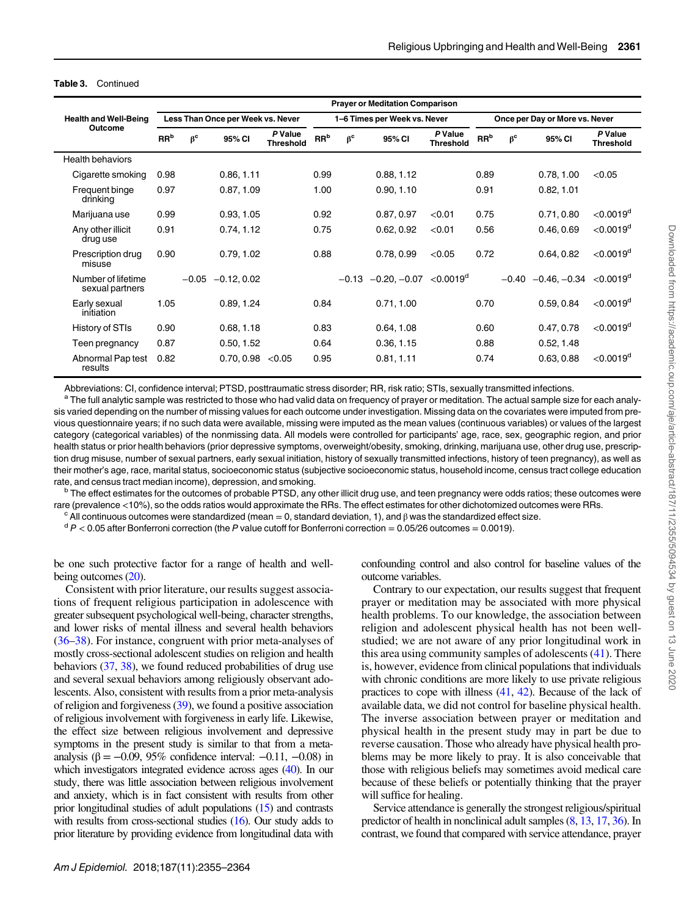|                                         | <b>Prayer or Meditation Comparison</b> |                                   |                     |                             |                 |                              |                                                |                             |                 |                                |                                                   |                             |  |
|-----------------------------------------|----------------------------------------|-----------------------------------|---------------------|-----------------------------|-----------------|------------------------------|------------------------------------------------|-----------------------------|-----------------|--------------------------------|---------------------------------------------------|-----------------------------|--|
| <b>Health and Well-Being</b><br>Outcome |                                        | Less Than Once per Week vs. Never |                     |                             |                 | 1-6 Times per Week vs. Never |                                                |                             |                 | Once per Day or More vs. Never |                                                   |                             |  |
|                                         | RR <sup>b</sup>                        | $\beta^c$                         | 95% CI              | P Value<br><b>Threshold</b> | RR <sup>b</sup> | $\beta^c$                    | 95% CI                                         | P Value<br><b>Threshold</b> | RR <sup>b</sup> | $\beta^c$                      | 95% CI                                            | P Value<br><b>Threshold</b> |  |
| <b>Health behaviors</b>                 |                                        |                                   |                     |                             |                 |                              |                                                |                             |                 |                                |                                                   |                             |  |
| Cigarette smoking                       | 0.98                                   |                                   | 0.86, 1.11          |                             | 0.99            |                              | 0.88, 1.12                                     |                             | 0.89            |                                | 0.78, 1.00                                        | < 0.05                      |  |
| Frequent binge<br>drinking              | 0.97                                   |                                   | 0.87, 1.09          |                             | 1.00            |                              | 0.90, 1.10                                     |                             | 0.91            |                                | 0.82, 1.01                                        |                             |  |
| Marijuana use                           | 0.99                                   |                                   | 0.93, 1.05          |                             | 0.92            |                              | 0.87, 0.97                                     | < 0.01                      | 0.75            |                                | 0.71, 0.80                                        | $<$ 0.0019 <sup>d</sup>     |  |
| Any other illicit<br>drug use           | 0.91                                   |                                   | 0.74, 1.12          |                             | 0.75            |                              | 0.62, 0.92                                     | < 0.01                      | 0.56            |                                | 0.46, 0.69                                        | $<$ 0.0019 <sup>d</sup>     |  |
| Prescription drug<br>misuse             | 0.90                                   |                                   | 0.79, 1.02          |                             | 0.88            |                              | 0.78, 0.99                                     | < 0.05                      | 0.72            |                                | 0.64, 0.82                                        | $<$ 0.0019 <sup>d</sup>     |  |
| Number of lifetime<br>sexual partners   |                                        |                                   | $-0.05 -0.12, 0.02$ |                             |                 |                              | $-0.13$ $-0.20, -0.07$ $< 0.0019$ <sup>d</sup> |                             |                 |                                | $-0.40$ $-0.46$ , $-0.34$ $< 0.0019$ <sup>d</sup> |                             |  |
| Early sexual<br>initiation              | 1.05                                   |                                   | 0.89, 1.24          |                             | 0.84            |                              | 0.71, 1.00                                     |                             | 0.70            |                                | 0.59, 0.84                                        | $<$ 0.0019 <sup>d</sup>     |  |
| History of STIs                         | 0.90                                   |                                   | 0.68, 1.18          |                             | 0.83            |                              | 0.64, 1.08                                     |                             | 0.60            |                                | 0.47, 0.78                                        | $<$ 0.0019 <sup>d</sup>     |  |
| Teen pregnancy                          | 0.87                                   |                                   | 0.50, 1.52          |                             | 0.64            |                              | 0.36, 1.15                                     |                             | 0.88            |                                | 0.52, 1.48                                        |                             |  |
| Abnormal Pap test<br>results            | 0.82                                   |                                   | 0.70, 0.98          | < 0.05                      | 0.95            |                              | 0.81, 1.11                                     |                             | 0.74            |                                | 0.63, 0.88                                        | $<$ 0.0019 <sup>d</sup>     |  |

#### Table 3. Continued

Abbreviations: CI, confidence interval; PTSD, posttraumatic stress disorder; RR, risk ratio; STIs, sexually transmitted infections.<br><sup>a</sup> The full analytic sample was restricted to those who had valid data on frequency of pr sis varied depending on the number of missing values for each outcome under investigation. Missing data on the covariates were imputed from previous questionnaire years; if no such data were available, missing were imputed as the mean values (continuous variables) or values of the largest category (categorical variables) of the nonmissing data. All models were controlled for participants' age, race, sex, geographic region, and prior health status or prior health behaviors (prior depressive symptoms, overweight/obesity, smoking, drinking, marijuana use, other drug use, prescription drug misuse, number of sexual partners, early sexual initiation, history of sexually transmitted infections, history of teen pregnancy), as well as their mother's age, race, marital status, socioeconomic status (subjective socioeconomic status, household income, census tract college education rate, and census tract median income), depression, and smoking.<br><sup>b</sup> The effect estimates for the outcomes of probable PTSD, any other illicit drug use, and teen pregnancy were odds ratios; these outcomes were

rare (prevalence <10%), so the odds ratios would approximate the RRs. The effect estimates for other dichotomized outcomes were RRs.<br>
<sup>c</sup> All continuous outcomes were standardized (mean = 0, standard deviation, 1), and  $\$ 

be one such protective factor for a range of health and wellbeing outcomes [\(20](#page-9-0)).

Consistent with prior literature, our results suggest associations of frequent religious participation in adolescence with greater subsequent psychological well-being, character strengths, and lower risks of mental illness and several health behaviors [\(36](#page-9-0)–[38](#page-9-0)). For instance, congruent with prior meta-analyses of mostly cross-sectional adolescent studies on religion and health behaviors [\(37](#page-9-0), [38\)](#page-9-0), we found reduced probabilities of drug use and several sexual behaviors among religiously observant adolescents. Also, consistent with results from a prior meta-analysis of religion and forgiveness [\(39\)](#page-9-0), we found a positive association of religious involvement with forgiveness in early life. Likewise, the effect size between religious involvement and depressive symptoms in the present study is similar to that from a metaanalysis (β =  $-0.09$ , 95% confidence interval:  $-0.11$ ,  $-0.08$ ) in which investigators integrated evidence across ages [\(40](#page-9-0)). In our study, there was little association between religious involvement and anxiety, which is in fact consistent with results from other prior longitudinal studies of adult populations [\(15](#page-9-0)) and contrasts with results from cross-sectional studies [\(16](#page-9-0)). Our study adds to prior literature by providing evidence from longitudinal data with

confounding control and also control for baseline values of the outcome variables.

Contrary to our expectation, our results suggest that frequent prayer or meditation may be associated with more physical health problems. To our knowledge, the association between religion and adolescent physical health has not been wellstudied; we are not aware of any prior longitudinal work in this area using community samples of adolescents ([41](#page-9-0)). There is, however, evidence from clinical populations that individuals with chronic conditions are more likely to use private religious practices to cope with illness [\(41,](#page-9-0) [42\)](#page-9-0). Because of the lack of available data, we did not control for baseline physical health. The inverse association between prayer or meditation and physical health in the present study may in part be due to reverse causation. Those who already have physical health problems may be more likely to pray. It is also conceivable that those with religious beliefs may sometimes avoid medical care because of these beliefs or potentially thinking that the prayer will suffice for healing.

Service attendance is generally the strongest religious/spiritual predictor of health in nonclinical adult samples ([8](#page-9-0), [13](#page-9-0), [17](#page-9-0), [36\)](#page-9-0). In contrast, we found that compared with service attendance, prayer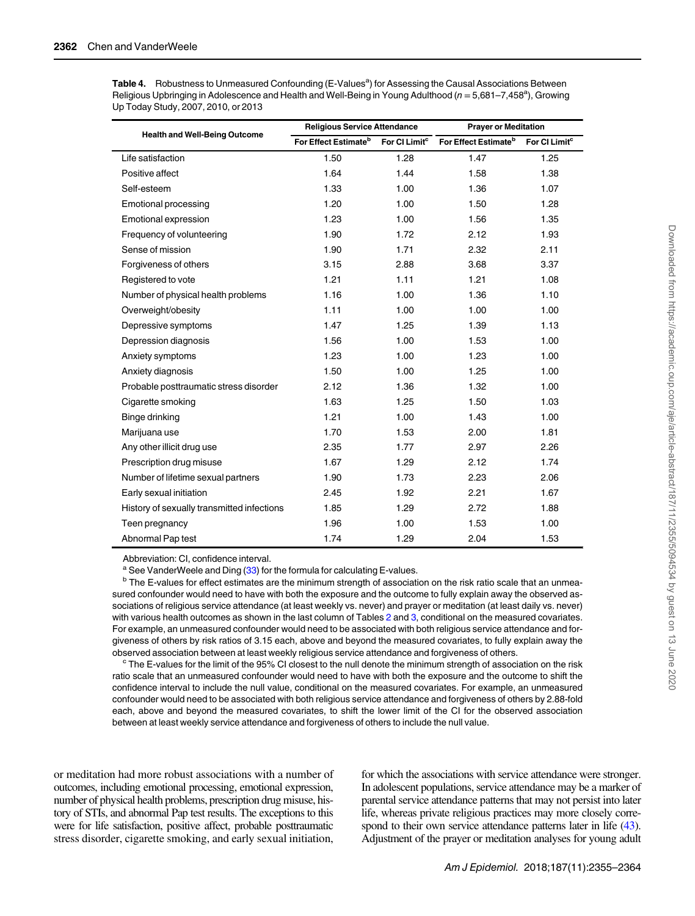<span id="page-7-0"></span>

| Table 4. Robustness to Unmeasured Confounding (E-Values <sup>a</sup> ) for Assessing the Causal Associations Between |
|----------------------------------------------------------------------------------------------------------------------|
| Religious Upbringing in Adolescence and Health and Well-Being in Young Adulthood ( $n = 5.681 - 7.458^a$ ), Growing  |
| Up Today Study, 2007, 2010, or 2013                                                                                  |

|                                            | <b>Religious Service Attendance</b> |                           | <b>Prayer or Meditation</b>      |                           |  |  |
|--------------------------------------------|-------------------------------------|---------------------------|----------------------------------|---------------------------|--|--|
| <b>Health and Well-Being Outcome</b>       | For Effect Estimate <sup>b</sup>    | For CI Limit <sup>c</sup> | For Effect Estimate <sup>b</sup> | For CI Limit <sup>c</sup> |  |  |
| Life satisfaction                          | 1.50                                | 1.28                      | 1.47                             | 1.25                      |  |  |
| Positive affect                            | 1.64                                | 1.44                      | 1.58                             | 1.38                      |  |  |
| Self-esteem                                | 1.33                                | 1.00                      | 1.36                             | 1.07                      |  |  |
| <b>Emotional processing</b>                | 1.20                                | 1.00                      | 1.50                             | 1.28                      |  |  |
| Emotional expression                       | 1.23                                | 1.00                      | 1.56                             | 1.35                      |  |  |
| Frequency of volunteering                  | 1.90                                | 1.72                      | 2.12                             | 1.93                      |  |  |
| Sense of mission                           | 1.90                                | 1.71                      | 2.32                             | 2.11                      |  |  |
| Forgiveness of others                      | 3.15                                | 2.88                      | 3.68                             | 3.37                      |  |  |
| Registered to vote                         | 1.21                                | 1.11                      | 1.21                             | 1.08                      |  |  |
| Number of physical health problems         | 1.16                                | 1.00                      | 1.36                             | 1.10                      |  |  |
| Overweight/obesity                         | 1.11                                | 1.00                      | 1.00                             | 1.00                      |  |  |
| Depressive symptoms                        | 1.47                                | 1.25                      | 1.39                             | 1.13                      |  |  |
| Depression diagnosis                       | 1.56                                | 1.00                      | 1.53                             | 1.00                      |  |  |
| Anxiety symptoms                           | 1.23                                | 1.00                      | 1.23                             | 1.00                      |  |  |
| Anxiety diagnosis                          | 1.50                                | 1.00                      | 1.25                             | 1.00                      |  |  |
| Probable posttraumatic stress disorder     | 2.12                                | 1.36                      | 1.32                             | 1.00                      |  |  |
| Cigarette smoking                          | 1.63                                | 1.25                      | 1.50                             | 1.03                      |  |  |
| Binge drinking                             | 1.21                                | 1.00                      | 1.43                             | 1.00                      |  |  |
| Marijuana use                              | 1.70                                | 1.53                      | 2.00                             | 1.81                      |  |  |
| Any other illicit drug use                 | 2.35                                | 1.77                      | 2.97                             | 2.26                      |  |  |
| Prescription drug misuse                   | 1.67                                | 1.29                      | 2.12                             | 1.74                      |  |  |
| Number of lifetime sexual partners         | 1.90                                | 1.73                      | 2.23                             | 2.06                      |  |  |
| Early sexual initiation                    | 2.45                                | 1.92                      | 2.21                             | 1.67                      |  |  |
| History of sexually transmitted infections | 1.85                                | 1.29                      | 2.72                             | 1.88                      |  |  |
| Teen pregnancy                             | 1.96                                | 1.00                      | 1.53                             | 1.00                      |  |  |
| Abnormal Pap test                          | 1.74                                | 1.29                      | 2.04                             | 1.53                      |  |  |

Abbreviation: CI, confidence interval.<br><sup>a</sup> See VanderWeele and Ding (33) for the formula for calculating E-values.

 $b$  The E-values for effect estimates are the minimum strength of association on the risk ratio scale that an unmeasured confounder would need to have with both the exposure and the outcome to fully explain away the observed associations of religious service attendance (at least weekly vs. never) and prayer or meditation (at least daily vs. never) with various health outcomes as shown in the last column of Tables [2](#page-4-0) and [3,](#page-5-0) conditional on the measured covariates. For example, an unmeasured confounder would need to be associated with both religious service attendance and forgiveness of others by risk ratios of 3.15 each, above and beyond the measured covariates, to fully explain away the observed association between at least weekly religious service attendance and forgiveness of others.<br><sup>c</sup> The E-values for the limit of the 95% CI closest to the null denote the minimum strength of association on the risk

ratio scale that an unmeasured confounder would need to have with both the exposure and the outcome to shift the confidence interval to include the null value, conditional on the measured covariates. For example, an unmeasured confounder would need to be associated with both religious service attendance and forgiveness of others by 2.88-fold each, above and beyond the measured covariates, to shift the lower limit of the CI for the observed association between at least weekly service attendance and forgiveness of others to include the null value.

or meditation had more robust associations with a number of outcomes, including emotional processing, emotional expression, number of physical health problems, prescription drug misuse, history of STIs, and abnormal Pap test results. The exceptions to this were for life satisfaction, positive affect, probable posttraumatic stress disorder, cigarette smoking, and early sexual initiation,

for which the associations with service attendance were stronger. In adolescent populations, service attendance may be a marker of parental service attendance patterns that may not persist into later life, whereas private religious practices may more closely correspond to their own service attendance patterns later in life [\(43\)](#page-9-0). Adjustment of the prayer or meditation analyses for young adult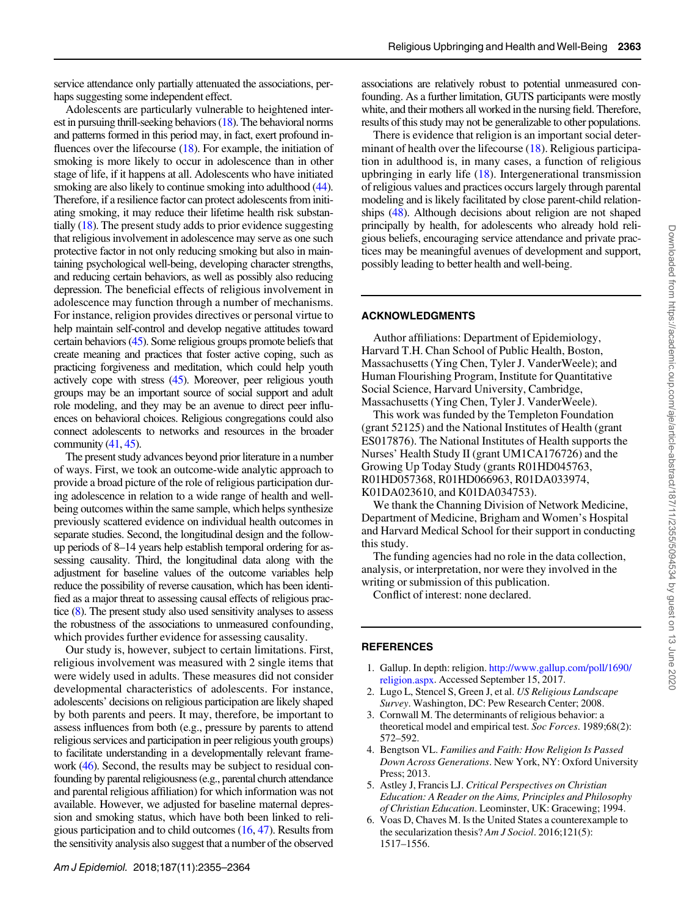<span id="page-8-0"></span>service attendance only partially attenuated the associations, perhaps suggesting some independent effect.

Adolescents are particularly vulnerable to heightened interest in pursuing thrill-seeking behaviors [\(18\)](#page-9-0). The behavioral norms and patterns formed in this period may, in fact, exert profound influences over the lifecourse  $(18)$ . For example, the initiation of smoking is more likely to occur in adolescence than in other stage of life, if it happens at all. Adolescents who have initiated smoking are also likely to continue smoking into adulthood [\(44\)](#page-9-0). Therefore, if a resilience factor can protect adolescents from initiating smoking, it may reduce their lifetime health risk substantially ([18](#page-9-0)). The present study adds to prior evidence suggesting that religious involvement in adolescence may serve as one such protective factor in not only reducing smoking but also in maintaining psychological well-being, developing character strengths, and reducing certain behaviors, as well as possibly also reducing depression. The beneficial effects of religious involvement in adolescence may function through a number of mechanisms. For instance, religion provides directives or personal virtue to help maintain self-control and develop negative attitudes toward certain behaviors ([45](#page-9-0)). Some religious groups promote beliefs that create meaning and practices that foster active coping, such as practicing forgiveness and meditation, which could help youth actively cope with stress [\(45\)](#page-9-0). Moreover, peer religious youth groups may be an important source of social support and adult role modeling, and they may be an avenue to direct peer influences on behavioral choices. Religious congregations could also connect adolescents to networks and resources in the broader community  $(41, 45)$  $(41, 45)$  $(41, 45)$ .

The present study advances beyond prior literature in a number of ways. First, we took an outcome-wide analytic approach to provide a broad picture of the role of religious participation during adolescence in relation to a wide range of health and wellbeing outcomes within the same sample, which helps synthesize previously scattered evidence on individual health outcomes in separate studies. Second, the longitudinal design and the followup periods of 8–14 years help establish temporal ordering for assessing causality. Third, the longitudinal data along with the adjustment for baseline values of the outcome variables help reduce the possibility of reverse causation, which has been identified as a major threat to assessing causal effects of religious practice [\(8\)](#page-9-0). The present study also used sensitivity analyses to assess the robustness of the associations to unmeasured confounding, which provides further evidence for assessing causality.

Our study is, however, subject to certain limitations. First, religious involvement was measured with 2 single items that were widely used in adults. These measures did not consider developmental characteristics of adolescents. For instance, adolescents' decisions on religious participation are likely shaped by both parents and peers. It may, therefore, be important to assess influences from both (e.g., pressure by parents to attend religious services and participation in peer religious youth groups) to facilitate understanding in a developmentally relevant frame-work [\(46\)](#page-9-0). Second, the results may be subject to residual confounding by parental religiousness(e.g., parental church attendance and parental religious affiliation) for which information was not available. However, we adjusted for baseline maternal depression and smoking status, which have both been linked to religious participation and to child outcomes [\(16,](#page-9-0) [47\)](#page-9-0). Results from the sensitivity analysis also suggest that a number of the observed associations are relatively robust to potential unmeasured confounding. As a further limitation, GUTS participants were mostly white, and their mothers all worked in the nursing field. Therefore, results of this study may not be generalizable to other populations.

There is evidence that religion is an important social deter-minant of health over the lifecourse ([18\)](#page-9-0). Religious participation in adulthood is, in many cases, a function of religious upbringing in early life  $(18)$  $(18)$ . Intergenerational transmission of religious values and practices occurs largely through parental modeling and is likely facilitated by close parent-child relationships [\(48\)](#page-9-0). Although decisions about religion are not shaped principally by health, for adolescents who already hold religious beliefs, encouraging service attendance and private practices may be meaningful avenues of development and support, possibly leading to better health and well-being.

### ACKNOWLEDGMENTS

Author affiliations: Department of Epidemiology, Harvard T.H. Chan School of Public Health, Boston, Massachusetts (Ying Chen, Tyler J. VanderWeele); and Human Flourishing Program, Institute for Quantitative Social Science, Harvard University, Cambridge, Massachusetts (Ying Chen, Tyler J. VanderWeele).

This work was funded by the Templeton Foundation (grant 52125) and the National Institutes of Health (grant ES017876). The National Institutes of Health supports the Nurses' Health Study II (grant UM1CA176726) and the Growing Up Today Study (grants R01HD045763, R01HD057368, R01HD066963, R01DA033974, K01DA023610, and K01DA034753).

We thank the Channing Division of Network Medicine, Department of Medicine, Brigham and Women's Hospital and Harvard Medical School for their support in conducting this study.

The funding agencies had no role in the data collection, analysis, or interpretation, nor were they involved in the writing or submission of this publication.

Conflict of interest: none declared.

### **REFERENCES**

- 1. Gallup. In depth: religion. [http://www.gallup.com/poll/1690/](http://www.gallup.com/poll/1690/religion.aspx.) [religion.aspx.](http://www.gallup.com/poll/1690/religion.aspx.) Accessed September 15, 2017.
- 2. Lugo L, Stencel S, Green J, et al. US Religious Landscape Survey. Washington, DC: Pew Research Center; 2008.
- 3. Cornwall M. The determinants of religious behavior: a theoretical model and empirical test. Soc Forces. 1989;68(2): 572–592.
- 4. Bengtson VL. Families and Faith: How Religion Is Passed Down Across Generations. New York, NY: Oxford University Press; 2013.
- 5. Astley J, Francis LJ. Critical Perspectives on Christian Education: A Reader on the Aims, Principles and Philosophy of Christian Education. Leominster, UK: Gracewing; 1994.
- 6. Voas D, Chaves M. Is the United States a counterexample to the secularization thesis? Am J Sociol. 2016;121(5): 1517–1556.